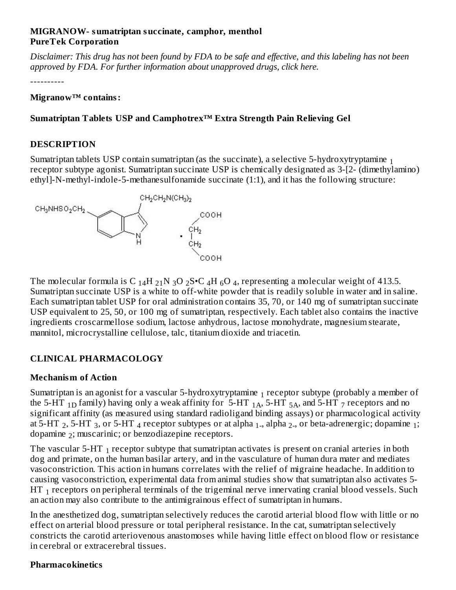#### **MIGRANOW- sumatriptan succinate, camphor, menthol PureTek Corporation**

Disclaimer: This drug has not been found by FDA to be safe and effective, and this labeling has not been *approved by FDA. For further information about unapproved drugs, click here.*

----------

#### **Migranow™ contains:**

### **Sumatriptan Tablets USP and Camphotrex™ Extra Strength Pain Relieving Gel**

#### **DESCRIPTION**

Sumatriptan tablets USP contain sumatriptan (as the succinate), a selective 5-hydroxytryptamine  $_1$ receptor subtype agonist. Sumatriptan succinate USP is chemically designated as 3-[2- (dimethylamino) ethyl]-N-methyl-indole-5-methanesulfonamide succinate (1:1), and it has the following structure:



The molecular formula is C  $_{14}$ H  $_{21}$ N  $_{3}$ O  $_{2}$ S $\cdot$ C  $_{4}$ H  $_{6}$ O  $_{4}$ , representing a molecular weight of 413.5. Sumatriptan succinate USP is a white to off-white powder that is readily soluble in water and in saline. Each sumatriptan tablet USP for oral administration contains 35, 70, or 140 mg of sumatriptan succinate USP equivalent to 25, 50, or 100 mg of sumatriptan, respectively. Each tablet also contains the inactive ingredients croscarmellose sodium, lactose anhydrous, lactose monohydrate, magnesium stearate, mannitol, microcrystalline cellulose, talc, titanium dioxide and triacetin.

### **CLINICAL PHARMACOLOGY**

#### **Mechanism of Action**

Sumatriptan is an agonist for a vascular 5-hydroxytryptamine  $_1$  receptor subtype (probably a member of the 5-HT  $_{1D}$  family) having only a weak affinity for 5-HT  $_{1A}$ , 5-HT  $_{5A}$ , and 5-HT  $_7$  receptors and no significant affinity (as measured using standard radioligand binding assays) or pharmacological activity at 5-HT  $_2$ , 5-HT  $_3$ , or 5-HT  $_4$  receptor subtypes or at alpha  $_1$ ., alpha  $_2$ ., or beta-adrenergic; dopamine  $_1$ ; dopamine  $_2$ ; muscarinic; or benzodiazepine receptors.

The vascular 5-HT  $_{\rm 1}$  receptor subtype that sumatriptan activates is present on cranial arteries in both dog and primate, on the human basilar artery, and in the vasculature of human dura mater and mediates vasoconstriction. This action in humans correlates with the relief of migraine headache. In addition to causing vasoconstriction, experimental data from animal studies show that sumatriptan also activates 5-  $\rm{HT}$   $_1$  receptors on peripheral terminals of the trigeminal nerve innervating cranial blood vessels. Such an action may also contribute to the antimigrainous effect of sumatriptan in humans.

In the anesthetized dog, sumatriptan selectively reduces the carotid arterial blood flow with little or no effect on arterial blood pressure or total peripheral resistance. In the cat, sumatriptan selectively constricts the carotid arteriovenous anastomoses while having little effect on blood flow or resistance in cerebral or extracerebral tissues.

#### **Pharmacokinetics**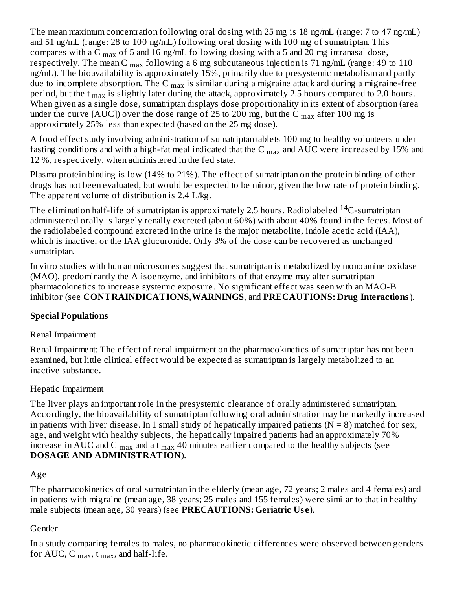The mean maximum concentration following oral dosing with 25 mg is 18 ng/mL (range: 7 to 47 ng/mL) and 51 ng/mL (range: 28 to 100 ng/mL) following oral dosing with 100 mg of sumatriptan. This compares with a C  $_{\rm max}$  of 5 and 16 ng/mL following dosing with a 5 and 20 mg intranasal dose, respectively. The mean C  $_{\rm max}$  following a 6 mg subcutaneous injection is 71 ng/mL (range: 49 to 110  $\,$ ng/mL). The bioavailability is approximately 15%, primarily due to presystemic metabolism and partly due to incomplete absorption. The C  $_{\rm max}$  is similar during a migraine attack and during a migraine-free period, but the t  $_{\rm max}$  is slightly later during the attack, approximately 2.5 hours compared to 2.0 hours. When given as a single dose, sumatriptan displays dose proportionality in its extent of absorption (area under the curve [AUC]) over the dose range of 25 to 200 mg, but the C  $_{\rm max}$  after 100 mg is approximately 25% less than expected (based on the 25 mg dose).

A food effect study involving administration of sumatriptan tablets 100 mg to healthy volunteers under fasting conditions and with a high-fat meal indicated that the C  $_{\rm max}$  and AUC were increased by 15% and 12 %, respectively, when administered in the fed state.

Plasma protein binding is low (14% to 21%). The effect of sumatriptan on the protein binding of other drugs has not been evaluated, but would be expected to be minor, given the low rate of protein binding. The apparent volume of distribution is 2.4 L/kg.

The elimination half-life of sumatriptan is approximately 2.5 hours. Radiolabeled  $^{14}$ C-sumatriptan administered orally is largely renally excreted (about 60%) with about 40% found in the feces. Most of the radiolabeled compound excreted in the urine is the major metabolite, indole acetic acid (IAA), which is inactive, or the IAA glucuronide. Only 3% of the dose can be recovered as unchanged sumatriptan.

In vitro studies with human microsomes suggest that sumatriptan is metabolized by monoamine oxidase (MAO), predominantly the A isoenzyme, and inhibitors of that enzyme may alter sumatriptan pharmacokinetics to increase systemic exposure. No significant effect was seen with an MAO-B inhibitor (see **CONTRAINDICATIONS,WARNINGS**, and **PRECAUTIONS: Drug Interactions**).

### **Special Populations**

# Renal Impairment

Renal Impairment: The effect of renal impairment on the pharmacokinetics of sumatriptan has not been examined, but little clinical effect would be expected as sumatriptan is largely metabolized to an inactive substance.

# Hepatic Impairment

The liver plays an important role in the presystemic clearance of orally administered sumatriptan. Accordingly, the bioavailability of sumatriptan following oral administration may be markedly increased in patients with liver disease. In 1 small study of hepatically impaired patients  $(N = 8)$  matched for sex, age, and weight with healthy subjects, the hepatically impaired patients had an approximately 70% increase in AUC and C  $_{\rm max}$  and a t  $_{\rm max}$  40 minutes earlier compared to the healthy subjects (see **DOSAGE AND ADMINISTRATION**).

### Age

The pharmacokinetics of oral sumatriptan in the elderly (mean age, 72 years; 2 males and 4 females) and in patients with migraine (mean age, 38 years; 25 males and 155 females) were similar to that in healthy male subjects (mean age, 30 years) (see **PRECAUTIONS: Geriatric Us e**).

# Gender

In a study comparing females to males, no pharmacokinetic differences were observed between genders for AUC, C  $_{\rm max}$ , t  $_{\rm max}$ , and half-life.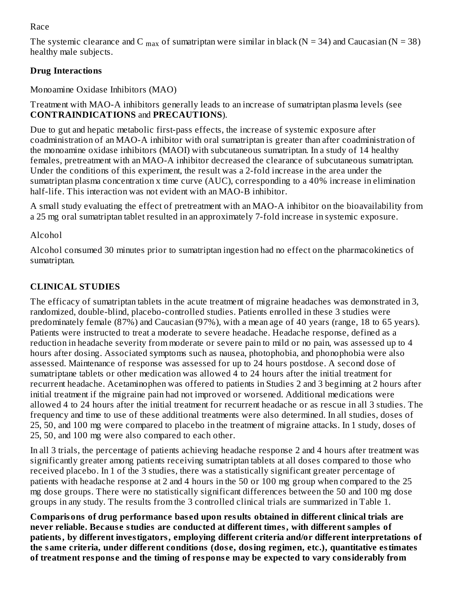### Race

The systemic clearance and C  $_{\rm max}$  of sumatriptan were similar in black (N = 34) and Caucasian (N = 38) healthy male subjects.

### **Drug Interactions**

Monoamine Oxidase Inhibitors (MAO)

Treatment with MAO-A inhibitors generally leads to an increase of sumatriptan plasma levels (see **CONTRAINDICATIONS** and **PRECAUTIONS**).

Due to gut and hepatic metabolic first-pass effects, the increase of systemic exposure after coadministration of an MAO-A inhibitor with oral sumatriptan is greater than after coadministration of the monoamine oxidase inhibitors (MAOI) with subcutaneous sumatriptan. In a study of 14 healthy females, pretreatment with an MAO-A inhibitor decreased the clearance of subcutaneous sumatriptan. Under the conditions of this experiment, the result was a 2-fold increase in the area under the sumatriptan plasma concentration x time curve (AUC), corresponding to a 40% increase in elimination half-life. This interaction was not evident with an MAO-B inhibitor.

A small study evaluating the effect of pretreatment with an MAO-A inhibitor on the bioavailability from a 25 mg oral sumatriptan tablet resulted in an approximately 7-fold increase in systemic exposure.

### Alcohol

Alcohol consumed 30 minutes prior to sumatriptan ingestion had no effect on the pharmacokinetics of sumatriptan.

### **CLINICAL STUDIES**

The efficacy of sumatriptan tablets in the acute treatment of migraine headaches was demonstrated in 3, randomized, double-blind, placebo-controlled studies. Patients enrolled in these 3 studies were predominately female (87%) and Caucasian (97%), with a mean age of 40 years (range, 18 to 65 years). Patients were instructed to treat a moderate to severe headache. Headache response, defined as a reduction in headache severity from moderate or severe pain to mild or no pain, was assessed up to 4 hours after dosing. Associated symptoms such as nausea, photophobia, and phonophobia were also assessed. Maintenance of response was assessed for up to 24 hours postdose. A second dose of sumatriptane tablets or other medication was allowed 4 to 24 hours after the initial treatment for recurrent headache. Acetaminophen was offered to patients in Studies 2 and 3 beginning at 2 hours after initial treatment if the migraine pain had not improved or worsened. Additional medications were allowed 4 to 24 hours after the initial treatment for recurrent headache or as rescue in all 3 studies. The frequency and time to use of these additional treatments were also determined. In all studies, doses of 25, 50, and 100 mg were compared to placebo in the treatment of migraine attacks. In 1 study, doses of 25, 50, and 100 mg were also compared to each other.

In all 3 trials, the percentage of patients achieving headache response 2 and 4 hours after treatment was significantly greater among patients receiving sumatriptan tablets at all doses compared to those who received placebo. In 1 of the 3 studies, there was a statistically significant greater percentage of patients with headache response at 2 and 4 hours in the 50 or 100 mg group when compared to the 25 mg dose groups. There were no statistically significant differences between the 50 and 100 mg dose groups in any study. The results from the 3 controlled clinical trials are summarized in Table 1.

**Comparisons of drug performance bas ed upon results obtained in different clinical trials are never reliable. Becaus e studies are conducted at different times, with different samples of patients, by different investigators, employing different criteria and/or different interpretations of the same criteria, under different conditions (dos e, dosing regimen, etc.), quantitative estimates of treatment respons e and the timing of respons e may be expected to vary considerably from**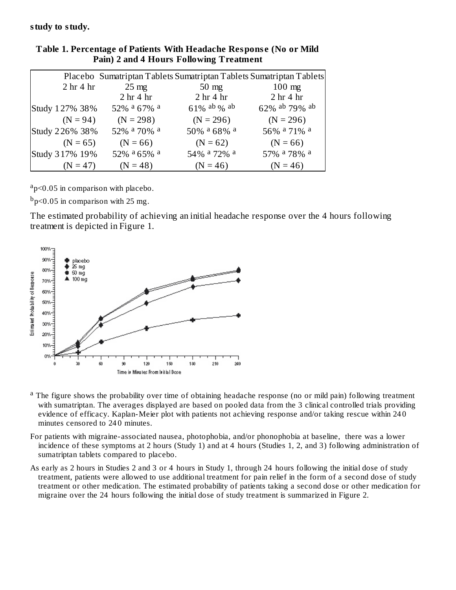#### **study to study.**

|                                 | Placebo Sumatriptan Tablets Sumatriptan Tablets Sumatriptan Tablets |                                   |                                 |  |  |
|---------------------------------|---------------------------------------------------------------------|-----------------------------------|---------------------------------|--|--|
| 2 <sup>hr</sup> 4 <sup>hr</sup> | $25 \text{ mg}$                                                     | $50 \text{ mg}$                   | $100$ mg                        |  |  |
|                                 | 2 <sup>hr</sup> 4 <sup>hr</sup>                                     | 2 <sup>hr</sup> 4 <sup>hr</sup>   | 2 <sup>hr</sup> 4 <sup>hr</sup> |  |  |
| Study 127% 38%                  | 52% a 67% a                                                         | $61\%$ ab $\%$ ab                 | 62% ab 79% ab                   |  |  |
| $(N = 94)$                      | $(N = 298)$                                                         | $(N = 296)$                       | $(N = 296)$                     |  |  |
| Study 226% 38%                  | 52% a 70% a                                                         | 50% a 68% a                       | 56% a 71% a                     |  |  |
| $(N = 65)$                      | $(N = 66)$                                                          | $(N = 62)$                        | $(N = 66)$                      |  |  |
| Study 317% 19%                  | 52% <sup>a</sup> 65% <sup>a</sup>                                   | 54% <sup>a</sup> 72% <sup>a</sup> | 57% a 78% a                     |  |  |
| $(N = 47)$                      | $(N = 48)$                                                          | $(N = 46)$                        | $(N = 46)$                      |  |  |

**Table 1. Percentage of Patients With Headache Respons e (No or Mild Pain) 2 and 4 Hours Following Treatment**

 $a$ <sub>p</sub><0.05 in comparison with placebo.

 $^{\rm b}$ p<0.05 in comparison with 25 mg.

The estimated probability of achieving an initial headache response over the 4 hours following treatment is depicted in Figure 1.



- <sup>a</sup> The figure shows the probability over time of obtaining headache response (no or mild pain) following treatment with sumatriptan. The averages displayed are based on pooled data from the 3 clinical controlled trials providing evidence of efficacy. Kaplan-Meier plot with patients not achieving response and/or taking rescue within 24 0 minutes censored to 24 0 minutes.
- For patients with migraine-associated nausea, photophobia, and/or phonophobia at baseline, there was a lower incidence of these symptoms at 2 hours (Study 1) and at 4 hours (Studies 1, 2, and 3) following administration of sumatriptan tablets compared to placebo.
- As early as 2 hours in Studies 2 and 3 or 4 hours in Study 1, through 24 hours following the initial dose of study treatment, patients were allowed to use additional treatment for pain relief in the form of a second dose of study treatment or other medication. The estimated probability of patients taking a second dose or other medication for migraine over the 24 hours following the initial dose of study treatment is summarized in Figure 2.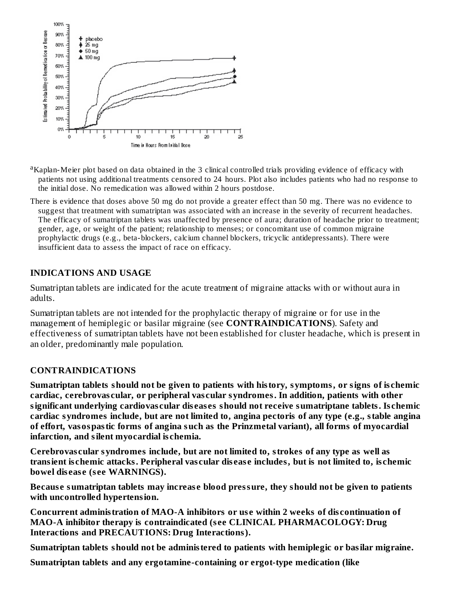

- <sup>a</sup>Kaplan-Meier plot based on data obtained in the 3 clinical controlled trials providing evidence of efficacy with patients not using additional treatments censored to 24 hours. Plot also includes patients who had no response to the initial dose. No remedication was allowed within 2 hours postdose.
- There is evidence that doses above 50 mg do not provide a greater effect than 50 mg. There was no evidence to suggest that treatment with sumatriptan was associated with an increase in the severity of recurrent headaches. The efficacy of sumatriptan tablets was unaffected by presence of aura; duration of headache prior to treatment; gender, age, or weight of the patient; relationship to menses; or concomitant use of common migraine prophylactic drugs (e.g., beta-blockers, calcium channel blockers, tricyclic antidepressants). There were insufficient data to assess the impact of race on efficacy.

#### **INDICATIONS AND USAGE**

Sumatriptan tablets are indicated for the acute treatment of migraine attacks with or without aura in adults.

Sumatriptan tablets are not intended for the prophylactic therapy of migraine or for use in the management of hemiplegic or basilar migraine (see **CONTRAINDICATIONS**). Safety and effectiveness of sumatriptan tablets have not been established for cluster headache, which is present in an older, predominantly male population.

#### **CONTRAINDICATIONS**

**Sumatriptan tablets should not be given to patients with history, symptoms, or signs of is chemic cardiac, cerebrovas cular, or peripheral vas cular syndromes. In addition, patients with other significant underlying cardiovas cular dis eas es should not receive sumatriptane tablets. Is chemic cardiac syndromes include, but are not limited to, angina pectoris of any type (e.g., stable angina of effort, vasospastic forms of angina such as the Prinzmetal variant), all forms of myocardial infarction, and silent myocardial is chemia.**

**Cerebrovas cular syndromes include, but are not limited to, strokes of any type as well as** transient ischemic attacks. Peripheral vascular disease includes, but is not limited to, ischemic **bowel dis eas e (s ee WARNINGS).**

**Becaus e sumatriptan tablets may increas e blood pressure, they should not be given to patients with uncontrolled hypertension.**

**Concurrent administration of MAO-A inhibitors or us e within 2 weeks of dis continuation of MAO-A inhibitor therapy is contraindicated (s ee CLINICAL PHARMACOLOGY: Drug Interactions and PRECAUTIONS: Drug Interactions).**

**Sumatriptan tablets should not be administered to patients with hemiplegic or basilar migraine.**

**Sumatriptan tablets and any ergotamine-containing or ergot-type medication (like**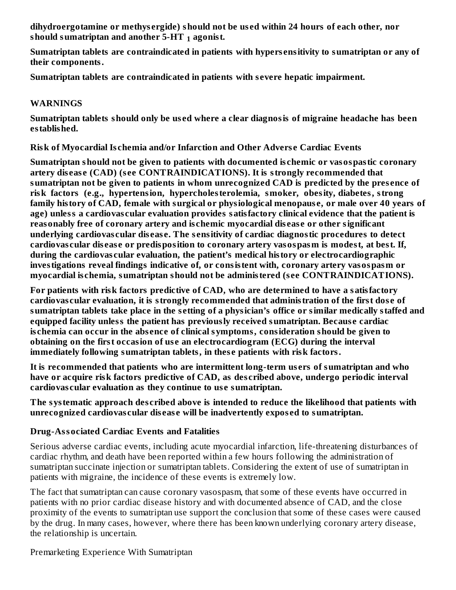**dihydroergotamine or methys ergide) should not be us ed within 24 hours of each other, nor should sumatriptan and another 5-HT agonist. 1**

**Sumatriptan tablets are contraindicated in patients with hypers ensitivity to sumatriptan or any of their components.**

**Sumatriptan tablets are contraindicated in patients with s evere hepatic impairment.**

### **WARNINGS**

**Sumatriptan tablets should only be us ed where a clear diagnosis of migraine headache has been established.**

**Risk of Myocardial Is chemia and/or Infarction and Other Advers e Cardiac Events**

**Sumatriptan should not be given to patients with documented is chemic or vasospastic coronary artery dis eas e (CAD) (s ee CONTRAINDICATIONS). It is strongly recommended that sumatriptan not be given to patients in whom unrecognized CAD is predicted by the pres ence of risk factors (e.g., hypertension, hypercholesterolemia, smoker, obesity, diabetes, strong family history of CAD, female with surgical or physiological menopaus e, or male over 40 years of age) unless a cardiovas cular evaluation provides satisfactory clinical evidence that the patient is reasonably free of coronary artery and is chemic myocardial dis eas e or other significant underlying cardiovas cular dis eas e. The s ensitivity of cardiac diagnostic procedures to detect cardiovas cular dis eas e or predisposition to coronary artery vasospasm is modest, at best. If, during the cardiovas cular evaluation, the patient's medical history or electrocardiographic investigations reveal findings indicative of, or consistent with, coronary artery vasospasm or myocardial is chemia, sumatriptan should not be administered (s ee CONTRAINDICATIONS).**

**For patients with risk factors predictive of CAD, who are determined to have a satisfactory cardiovas cular evaluation, it is strongly recommended that administration of the first dos e of sumatriptan tablets take place in the s etting of a physician's office or similar medically staffed and equipped facility unless the patient has previously received sumatriptan. Becaus e cardiac is chemia can occur in the abs ence of clinical symptoms, consideration should be given to obtaining on the first occasion of us e an electrocardiogram (ECG) during the interval immediately following sumatriptan tablets, in thes e patients with risk factors.**

**It is recommended that patients who are intermittent long-term us ers of sumatriptan and who have or acquire risk factors predictive of CAD, as des cribed above, undergo periodic interval cardiovas cular evaluation as they continue to us e sumatriptan.**

**The systematic approach des cribed above is intended to reduce the likelihood that patients with unrecognized cardiovas cular dis eas e will be inadvertently expos ed to sumatriptan.**

### **Drug-Associated Cardiac Events and Fatalities**

Serious adverse cardiac events, including acute myocardial infarction, life-threatening disturbances of cardiac rhythm, and death have been reported within a few hours following the administration of sumatriptan succinate injection or sumatriptan tablets. Considering the extent of use of sumatriptan in patients with migraine, the incidence of these events is extremely low.

The fact that sumatriptan can cause coronary vasospasm, that some of these events have occurred in patients with no prior cardiac disease history and with documented absence of CAD, and the close proximity of the events to sumatriptan use support the conclusion that some of these cases were caused by the drug. In many cases, however, where there has been known underlying coronary artery disease, the relationship is uncertain.

Premarketing Experience With Sumatriptan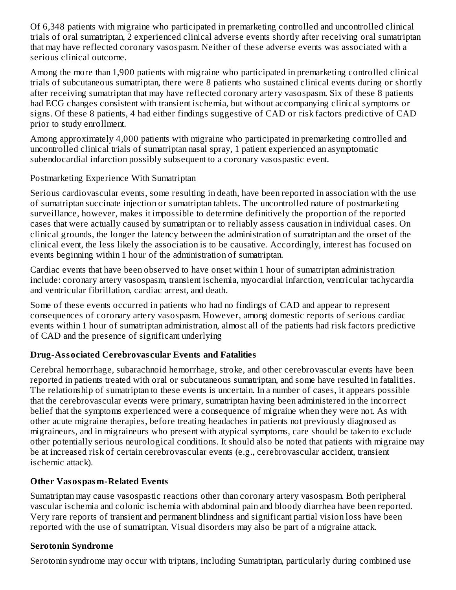Of 6,348 patients with migraine who participated in premarketing controlled and uncontrolled clinical trials of oral sumatriptan, 2 experienced clinical adverse events shortly after receiving oral sumatriptan that may have reflected coronary vasospasm. Neither of these adverse events was associated with a serious clinical outcome.

Among the more than 1,900 patients with migraine who participated in premarketing controlled clinical trials of subcutaneous sumatriptan, there were 8 patients who sustained clinical events during or shortly after receiving sumatriptan that may have reflected coronary artery vasospasm. Six of these 8 patients had ECG changes consistent with transient ischemia, but without accompanying clinical symptoms or signs. Of these 8 patients, 4 had either findings suggestive of CAD or risk factors predictive of CAD prior to study enrollment.

Among approximately 4,000 patients with migraine who participated in premarketing controlled and uncontrolled clinical trials of sumatriptan nasal spray, 1 patient experienced an asymptomatic subendocardial infarction possibly subsequent to a coronary vasospastic event.

#### Postmarketing Experience With Sumatriptan

Serious cardiovascular events, some resulting in death, have been reported in association with the use of sumatriptan succinate injection or sumatriptan tablets. The uncontrolled nature of postmarketing surveillance, however, makes it impossible to determine definitively the proportion of the reported cases that were actually caused by sumatriptan or to reliably assess causation in individual cases. On clinical grounds, the longer the latency between the administration of sumatriptan and the onset of the clinical event, the less likely the association is to be causative. Accordingly, interest has focused on events beginning within 1 hour of the administration of sumatriptan.

Cardiac events that have been observed to have onset within 1 hour of sumatriptan administration include: coronary artery vasospasm, transient ischemia, myocardial infarction, ventricular tachycardia and ventricular fibrillation, cardiac arrest, and death.

Some of these events occurred in patients who had no findings of CAD and appear to represent consequences of coronary artery vasospasm. However, among domestic reports of serious cardiac events within 1 hour of sumatriptan administration, almost all of the patients had risk factors predictive of CAD and the presence of significant underlying

### **Drug-Associated Cerebrovas cular Events and Fatalities**

Cerebral hemorrhage, subarachnoid hemorrhage, stroke, and other cerebrovascular events have been reported in patients treated with oral or subcutaneous sumatriptan, and some have resulted in fatalities. The relationship of sumatriptan to these events is uncertain. In a number of cases, it appears possible that the cerebrovascular events were primary, sumatriptan having been administered in the incorrect belief that the symptoms experienced were a consequence of migraine when they were not. As with other acute migraine therapies, before treating headaches in patients not previously diagnosed as migraineurs, and in migraineurs who present with atypical symptoms, care should be taken to exclude other potentially serious neurological conditions. It should also be noted that patients with migraine may be at increased risk of certain cerebrovascular events (e.g., cerebrovascular accident, transient ischemic attack).

### **Other Vasospasm-Related Events**

Sumatriptan may cause vasospastic reactions other than coronary artery vasospasm. Both peripheral vascular ischemia and colonic ischemia with abdominal pain and bloody diarrhea have been reported. Very rare reports of transient and permanent blindness and significant partial vision loss have been reported with the use of sumatriptan. Visual disorders may also be part of a migraine attack.

### **Serotonin Syndrome**

Serotonin syndrome may occur with triptans, including Sumatriptan, particularly during combined use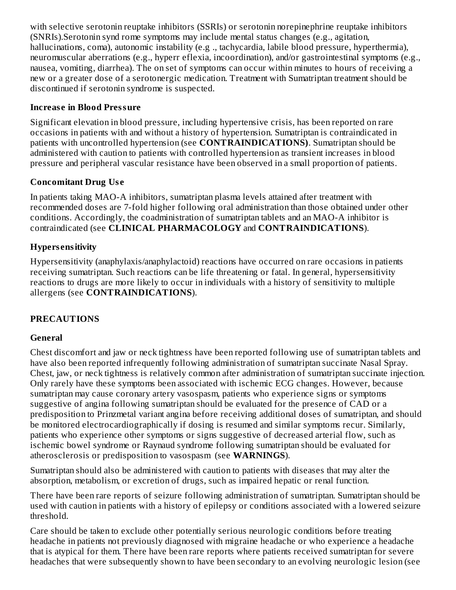with selective serotonin reuptake inhibitors (SSRIs) or serotonin norepinephrine reuptake inhibitors (SNRIs).Serotonin synd rome symptoms may include mental status changes (e.g., agitation, hallucinations, coma), autonomic instability (e.g ., tachycardia, labile blood pressure, hyperthermia), neuromuscular aberrations (e.g., hyperr eflexia, incoordination), and/or gastrointestinal symptoms (e.g., nausea, vomiting, diarrhea). The on set of symptoms can occur within minutes to hours of receiving a new or a greater dose of a serotonergic medication. Treatment with Sumatriptan treatment should be discontinued if serotonin syndrome is suspected.

### **Increas e in Blood Pressure**

Significant elevation in blood pressure, including hypertensive crisis, has been reported on rare occasions in patients with and without a history of hypertension. Sumatriptan is contraindicated in patients with uncontrolled hypertension (see **CONTRAINDICATIONS)**. Sumatriptan should be administered with caution to patients with controlled hypertension as transient increases in blood pressure and peripheral vascular resistance have been observed in a small proportion of patients.

### **Concomitant Drug Us e**

In patients taking MAO-A inhibitors, sumatriptan plasma levels attained after treatment with recommended doses are 7-fold higher following oral administration than those obtained under other conditions. Accordingly, the coadministration of sumatriptan tablets and an MAO-A inhibitor is contraindicated (see **CLINICAL PHARMACOLOGY** and **CONTRAINDICATIONS**).

### **Hypers ensitivity**

Hypersensitivity (anaphylaxis/anaphylactoid) reactions have occurred on rare occasions in patients receiving sumatriptan. Such reactions can be life threatening or fatal. In general, hypersensitivity reactions to drugs are more likely to occur in individuals with a history of sensitivity to multiple allergens (see **CONTRAINDICATIONS**).

### **PRECAUTIONS**

### **General**

Chest discomfort and jaw or neck tightness have been reported following use of sumatriptan tablets and have also been reported infrequently following administration of sumatriptan succinate Nasal Spray. Chest, jaw, or neck tightness is relatively common after administration of sumatriptan succinate injection. Only rarely have these symptoms been associated with ischemic ECG changes. However, because sumatriptan may cause coronary artery vasospasm, patients who experience signs or symptoms suggestive of angina following sumatriptan should be evaluated for the presence of CAD or a predisposition to Prinzmetal variant angina before receiving additional doses of sumatriptan, and should be monitored electrocardiographically if dosing is resumed and similar symptoms recur. Similarly, patients who experience other symptoms or signs suggestive of decreased arterial flow, such as ischemic bowel syndrome or Raynaud syndrome following sumatriptan should be evaluated for atherosclerosis or predisposition to vasospasm (see **WARNINGS**).

Sumatriptan should also be administered with caution to patients with diseases that may alter the absorption, metabolism, or excretion of drugs, such as impaired hepatic or renal function.

There have been rare reports of seizure following administration of sumatriptan. Sumatriptan should be used with caution in patients with a history of epilepsy or conditions associated with a lowered seizure threshold.

Care should be taken to exclude other potentially serious neurologic conditions before treating headache in patients not previously diagnosed with migraine headache or who experience a headache that is atypical for them. There have been rare reports where patients received sumatriptan for severe headaches that were subsequently shown to have been secondary to an evolving neurologic lesion (see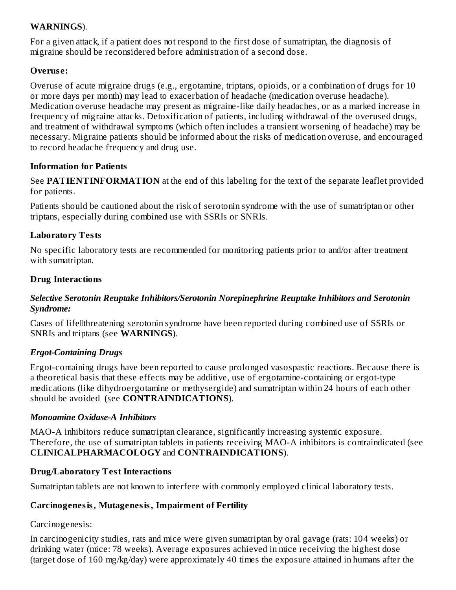#### **WARNINGS**).

For a given attack, if a patient does not respond to the first dose of sumatriptan, the diagnosis of migraine should be reconsidered before administration of a second dose.

#### **Overus e:**

Overuse of acute migraine drugs (e.g., ergotamine, triptans, opioids, or a combination of drugs for 10 or more days per month) may lead to exacerbation of headache (medication overuse headache). Medication overuse headache may present as migraine-like daily headaches, or as a marked increase in frequency of migraine attacks. Detoxification of patients, including withdrawal of the overused drugs, and treatment of withdrawal symptoms (which often includes a transient worsening of headache) may be necessary. Migraine patients should be informed about the risks of medication overuse, and encouraged to record headache frequency and drug use.

#### **Information for Patients**

See **PATIENTINFORMATION** at the end of this labeling for the text of the separate leaflet provided for patients.

Patients should be cautioned about the risk of serotonin syndrome with the use of sumatriptan or other triptans, especially during combined use with SSRIs or SNRIs.

#### **Laboratory Tests**

No specific laboratory tests are recommended for monitoring patients prior to and/or after treatment with sumatriptan.

#### **Drug Interactions**

#### *Selective Serotonin Reuptake Inhibitors/Serotonin Norepinephrine Reuptake Inhibitors and Serotonin Syndrome:*

Cases of lifelthreatening serotonin syndrome have been reported during combined use of SSRIs or SNRIs and triptans (see **WARNINGS**).

#### *Ergot-Containing Drugs*

Ergot-containing drugs have been reported to cause prolonged vasospastic reactions. Because there is a theoretical basis that these effects may be additive, use of ergotamine-containing or ergot-type medications (like dihydroergotamine or methysergide) and sumatriptan within 24 hours of each other should be avoided (see **CONTRAINDICATIONS**).

#### *Monoamine Oxidase-A Inhibitors*

MAO-A inhibitors reduce sumatriptan clearance, significantly increasing systemic exposure. Therefore, the use of sumatriptan tablets in patients receiving MAO-A inhibitors is contraindicated (see **CLINICALPHARMACOLOGY** and **CONTRAINDICATIONS**).

#### **Drug/Laboratory Test Interactions**

Sumatriptan tablets are not known to interfere with commonly employed clinical laboratory tests.

#### **Carcinogenesis, Mutagenesis, Impairment of Fertility**

#### Carcinogenesis:

In carcinogenicity studies, rats and mice were given sumatriptan by oral gavage (rats: 104 weeks) or drinking water (mice: 78 weeks). Average exposures achieved in mice receiving the highest dose (target dose of 160 mg/kg/day) were approximately 40 times the exposure attained in humans after the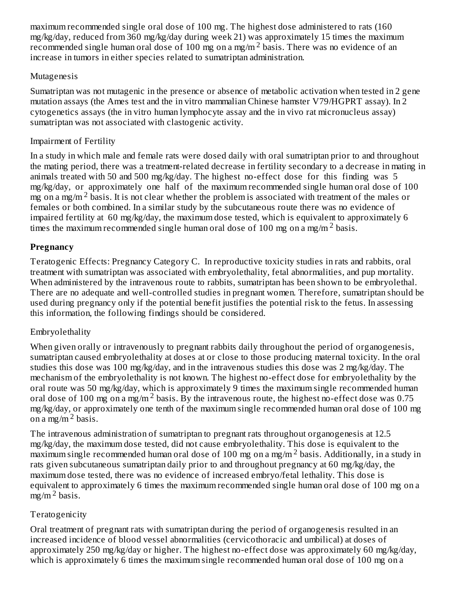maximum recommended single oral dose of 100 mg. The highest dose administered to rats (160 mg/kg/day, reduced from 360 mg/kg/day during week 21) was approximately 15 times the maximum recommended single human oral dose of 100 mg on a mg/m<sup>2</sup> basis. There was no evidence of an increase in tumors in either species related to sumatriptan administration.

### Mutagenesis

Sumatriptan was not mutagenic in the presence or absence of metabolic activation when tested in 2 gene mutation assays (the Ames test and the in vitro mammalian Chinese hamster V79/HGPRT assay). In 2 cytogenetics assays (the in vitro human lymphocyte assay and the in vivo rat micronucleus assay) sumatriptan was not associated with clastogenic activity.

### Impairment of Fertility

In a study in which male and female rats were dosed daily with oral sumatriptan prior to and throughout the mating period, there was a treatment-related decrease in fertility secondary to a decrease in mating in animals treated with 50 and 500 mg/kg/day. The highest no-effect dose for this finding was 5 mg/kg/day, or approximately one half of the maximum recommended single human oral dose of 100  $mg$  on a mg/m<sup>2</sup> basis. It is not clear whether the problem is associated with treatment of the males or females or both combined. In a similar study by the subcutaneous route there was no evidence of impaired fertility at 60 mg/kg/day, the maximum dose tested, which is equivalent to approximately 6 times the maximum recommended single human oral dose of 100 mg on a mg/m<sup>2</sup> basis.

### **Pregnancy**

Teratogenic Effects: Pregnancy Category C. In reproductive toxicity studies in rats and rabbits, oral treatment with sumatriptan was associated with embryolethality, fetal abnormalities, and pup mortality. When administered by the intravenous route to rabbits, sumatriptan has been shown to be embryolethal. There are no adequate and well-controlled studies in pregnant women. Therefore, sumatriptan should be used during pregnancy only if the potential benefit justifies the potential risk to the fetus. In assessing this information, the following findings should be considered.

# Embryolethality

When given orally or intravenously to pregnant rabbits daily throughout the period of organogenesis, sumatriptan caused embryolethality at doses at or close to those producing maternal toxicity. In the oral studies this dose was 100 mg/kg/day, and in the intravenous studies this dose was 2 mg/kg/day. The mechanism of the embryolethality is not known. The highest no-effect dose for embryolethality by the oral route was 50 mg/kg/day, which is approximately 9 times the maximum single recommended human oral dose of 100 mg on a mg/m<sup>2</sup> basis. By the intravenous route, the highest no-effect dose was 0.75 mg/kg/day, or approximately one tenth of the maximum single recommended human oral dose of 100 mg on a mg/m<sup>2</sup> basis.

The intravenous administration of sumatriptan to pregnant rats throughout organogenesis at 12.5 mg/kg/day, the maximum dose tested, did not cause embryolethality. This dose is equivalent to the  $maximum$  single recommended human oral dose of 100 mg on a mg/m  $2$  basis. Additionally, in a study in rats given subcutaneous sumatriptan daily prior to and throughout pregnancy at 60 mg/kg/day, the maximum dose tested, there was no evidence of increased embryo/fetal lethality. This dose is equivalent to approximately 6 times the maximum recommended single human oral dose of 100 mg on a  $mg/m^2$  basis.

# Teratogenicity

Oral treatment of pregnant rats with sumatriptan during the period of organogenesis resulted in an increased incidence of blood vessel abnormalities (cervicothoracic and umbilical) at doses of approximately 250 mg/kg/day or higher. The highest no-effect dose was approximately 60 mg/kg/day, which is approximately 6 times the maximum single recommended human oral dose of 100 mg on a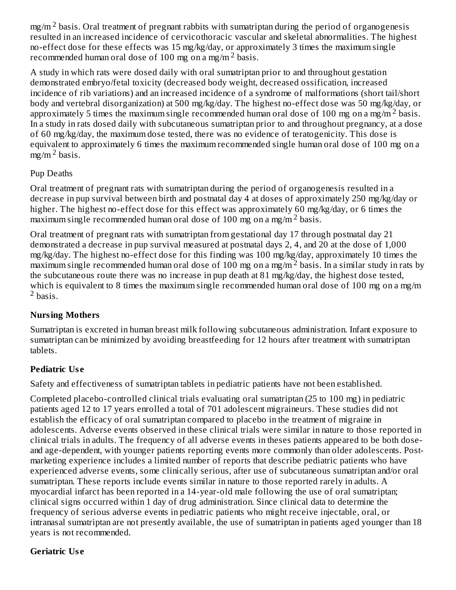mg/m  $^2$  basis. Oral treatment of pregnant rabbits with sumatriptan during the period of organogenesis resulted in an increased incidence of cervicothoracic vascular and skeletal abnormalities. The highest no-effect dose for these effects was 15 mg/kg/day, or approximately 3 times the maximum single recommended human oral dose of 100 mg on a mg/m<sup>2</sup> basis.

A study in which rats were dosed daily with oral sumatriptan prior to and throughout gestation demonstrated embryo/fetal toxicity (decreased body weight, decreased ossification, increased incidence of rib variations) and an increased incidence of a syndrome of malformations (short tail/short body and vertebral disorganization) at 500 mg/kg/day. The highest no-effect dose was 50 mg/kg/day, or approximately 5 times the maximum single recommended human oral dose of 100 mg on a mg/m<sup>2</sup> basis. In a study in rats dosed daily with subcutaneous sumatriptan prior to and throughout pregnancy, at a dose of 60 mg/kg/day, the maximum dose tested, there was no evidence of teratogenicity. This dose is equivalent to approximately 6 times the maximum recommended single human oral dose of 100 mg on a  $mg/m^2$  basis.

### Pup Deaths

Oral treatment of pregnant rats with sumatriptan during the period of organogenesis resulted in a decrease in pup survival between birth and postnatal day 4 at doses of approximately 250 mg/kg/day or higher. The highest no-effect dose for this effect was approximately 60 mg/kg/day, or 6 times the maximum single recommended human oral dose of 100 mg on a mg/m<sup>2</sup> basis.

Oral treatment of pregnant rats with sumatriptan from gestational day 17 through postnatal day 21 demonstrated a decrease in pup survival measured at postnatal days 2, 4, and 20 at the dose of 1,000 mg/kg/day. The highest no-effect dose for this finding was 100 mg/kg/day, approximately 10 times the  $\frac{1}{2}$  maximum single recommended human oral dose of 100 mg on a mg/m<sup>2</sup> basis. In a similar study in rats by the subcutaneous route there was no increase in pup death at 81 mg/kg/day, the highest dose tested, which is equivalent to 8 times the maximum single recommended human oral dose of 100 mg on a mg/m  $<sup>2</sup>$  basis.</sup>

# **Nursing Mothers**

Sumatriptan is excreted in human breast milk following subcutaneous administration. Infant exposure to sumatriptan can be minimized by avoiding breastfeeding for 12 hours after treatment with sumatriptan tablets.

# **Pediatric Us e**

Safety and effectiveness of sumatriptan tablets in pediatric patients have not been established.

Completed placebo-controlled clinical trials evaluating oral sumatriptan (25 to 100 mg) in pediatric patients aged 12 to 17 years enrolled a total of 701 adolescent migraineurs. These studies did not establish the efficacy of oral sumatriptan compared to placebo in the treatment of migraine in adolescents. Adverse events observed in these clinical trials were similar in nature to those reported in clinical trials in adults. The frequency of all adverse events in theses patients appeared to be both doseand age-dependent, with younger patients reporting events more commonly than older adolescents. Postmarketing experience includes a limited number of reports that describe pediatric patients who have experienced adverse events, some clinically serious, after use of subcutaneous sumatriptan and/or oral sumatriptan. These reports include events similar in nature to those reported rarely in adults. A myocardial infarct has been reported in a 14-year-old male following the use of oral sumatriptan; clinical signs occurred within 1 day of drug administration. Since clinical data to determine the frequency of serious adverse events in pediatric patients who might receive injectable, oral, or intranasal sumatriptan are not presently available, the use of sumatriptan in patients aged younger than 18 years is not recommended.

# **Geriatric Us e**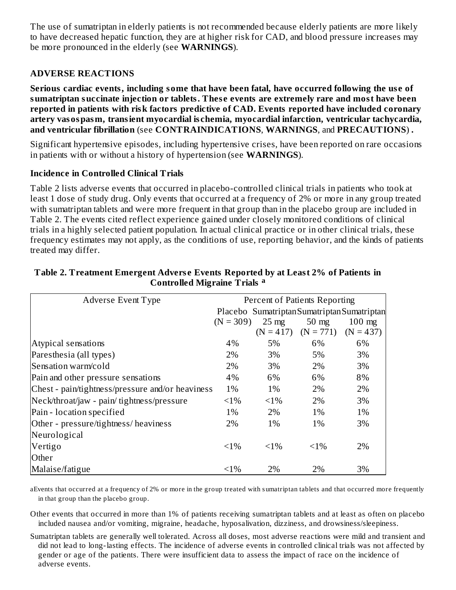The use of sumatriptan in elderly patients is not recommended because elderly patients are more likely to have decreased hepatic function, they are at higher risk for CAD, and blood pressure increases may be more pronounced in the elderly (see **WARNINGS**).

### **ADVERSE REACTIONS**

**Serious cardiac events, including some that have been fatal, have occurred following the us e of sumatriptan succinate injection or tablets. Thes e events are extremely rare and most have been reported in patients with risk factors predictive of CAD. Events reported have included coronary artery vasospasm, transient myocardial is chemia, myocardial infarction, ventricular tachycardia, and ventricular fibrillation** (see **CONTRAINDICATIONS**, **WARNINGS**, and **PRECAUTIONS**) **.**

Significant hypertensive episodes, including hypertensive crises, have been reported on rare occasions in patients with or without a history of hypertension (see **WARNINGS**).

#### **Incidence in Controlled Clinical Trials**

Table 2 lists adverse events that occurred in placebo-controlled clinical trials in patients who took at least 1 dose of study drug. Only events that occurred at a frequency of 2% or more in any group treated with sumatriptan tablets and were more frequent in that group than in the placebo group are included in Table 2. The events cited reflect experience gained under closely monitored conditions of clinical trials in a highly selected patient population. In actual clinical practice or in other clinical trials, these frequency estimates may not apply, as the conditions of use, reporting behavior, and the kinds of patients treated may differ.

| Adverse Event Type                               | Percent of Patients Reporting |                 |                         |                                             |  |  |
|--------------------------------------------------|-------------------------------|-----------------|-------------------------|---------------------------------------------|--|--|
|                                                  |                               |                 |                         | Placebo Sumatriptan Sumatriptan Sumatriptan |  |  |
|                                                  | $(N = 309)$                   | $25 \text{ mg}$ | $50$ mg                 | $100$ mg                                    |  |  |
|                                                  |                               |                 | $(N = 417)$ $(N = 771)$ | $(N = 437)$                                 |  |  |
| Atypical sensations                              | 4%                            | 5%              | 6%                      | 6%                                          |  |  |
| Paresthesia (all types)                          | 2%                            | 3%              | 5%                      | 3%                                          |  |  |
| Sensation warm/cold                              | 2%                            | 3%              | 2%                      | 3%                                          |  |  |
| Pain and other pressure sensations               | 4%                            | 6%              | 6%                      | 8%                                          |  |  |
| Chest - pain/tightness/pressure and/or heaviness | 1%                            | 1%              | 2%                      | 2%                                          |  |  |
| Neck/throat/jaw - pain/ tightness/pressure       | $<1\%$                        | $<1\%$          | 2%                      | 3%                                          |  |  |
| Pain - location specified                        | 1%                            | 2%              | 1%                      | 1%                                          |  |  |
| Other - pressure/tightness/ heaviness            | 2%                            | 1%              | 1%                      | 3%                                          |  |  |
| Neurological                                     |                               |                 |                         |                                             |  |  |
| Vertigo                                          | $<1\%$                        | $<1\%$          | $<1\%$                  | 2%                                          |  |  |
| Other                                            |                               |                 |                         |                                             |  |  |
| Malaise/fatigue                                  | $<1\%$                        | 2%              | 2%                      | 3%                                          |  |  |

#### **Table 2. Treatment Emergent Advers e Events Reported by at Least 2% of Patients in Controlled Migraine Trials a**

aEvents that occurred at a frequency of 2% or more in the group treated with sumatriptan tablets and that occurred more frequently in that group than the placebo group.

Other events that occurred in more than 1% of patients receiving sumatriptan tablets and at least as often on placebo included nausea and/or vomiting, migraine, headache, hyposalivation, dizziness, and drowsiness/sleepiness.

Sumatriptan tablets are generally well tolerated. Across all doses, most adverse reactions were mild and transient and did not lead to long-lasting effects. The incidence of adverse events in controlled clinical trials was not affected by gender or age of the patients. There were insufficient data to assess the impact of race on the incidence of adverse events.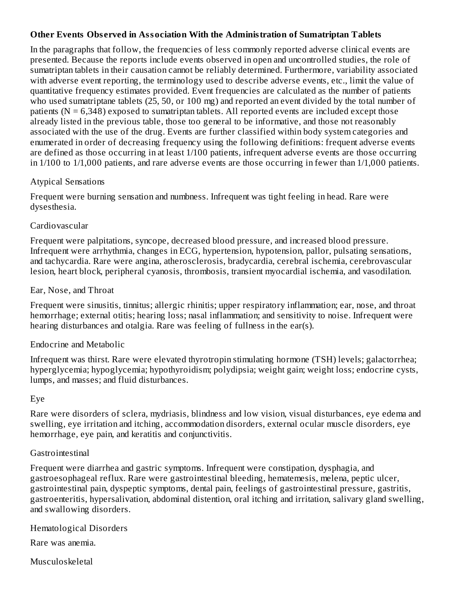### **Other Events Obs erved in Association With the Administration of Sumatriptan Tablets**

In the paragraphs that follow, the frequencies of less commonly reported adverse clinical events are presented. Because the reports include events observed in open and uncontrolled studies, the role of sumatriptan tablets in their causation cannot be reliably determined. Furthermore, variability associated with adverse event reporting, the terminology used to describe adverse events, etc., limit the value of quantitative frequency estimates provided. Event frequencies are calculated as the number of patients who used sumatriptane tablets (25, 50, or 100 mg) and reported an event divided by the total number of patients ( $N = 6,348$ ) exposed to sumatriptan tablets. All reported events are included except those already listed in the previous table, those too general to be informative, and those not reasonably associated with the use of the drug. Events are further classified within body system categories and enumerated in order of decreasing frequency using the following definitions: frequent adverse events are defined as those occurring in at least 1/100 patients, infrequent adverse events are those occurring in 1/100 to 1/1,000 patients, and rare adverse events are those occurring in fewer than 1/1,000 patients.

#### Atypical Sensations

Frequent were burning sensation and numbness. Infrequent was tight feeling in head. Rare were dysesthesia.

#### Cardiovascular

Frequent were palpitations, syncope, decreased blood pressure, and increased blood pressure. Infrequent were arrhythmia, changes in ECG, hypertension, hypotension, pallor, pulsating sensations, and tachycardia. Rare were angina, atherosclerosis, bradycardia, cerebral ischemia, cerebrovascular lesion, heart block, peripheral cyanosis, thrombosis, transient myocardial ischemia, and vasodilation.

#### Ear, Nose, and Throat

Frequent were sinusitis, tinnitus; allergic rhinitis; upper respiratory inflammation; ear, nose, and throat hemorrhage; external otitis; hearing loss; nasal inflammation; and sensitivity to noise. Infrequent were hearing disturbances and otalgia. Rare was feeling of fullness in the ear(s).

#### Endocrine and Metabolic

Infrequent was thirst. Rare were elevated thyrotropin stimulating hormone (TSH) levels; galactorrhea; hyperglycemia; hypoglycemia; hypothyroidism; polydipsia; weight gain; weight loss; endocrine cysts, lumps, and masses; and fluid disturbances.

#### Eye

Rare were disorders of sclera, mydriasis, blindness and low vision, visual disturbances, eye edema and swelling, eye irritation and itching, accommodation disorders, external ocular muscle disorders, eye hemorrhage, eye pain, and keratitis and conjunctivitis.

#### Gastrointestinal

Frequent were diarrhea and gastric symptoms. Infrequent were constipation, dysphagia, and gastroesophageal reflux. Rare were gastrointestinal bleeding, hematemesis, melena, peptic ulcer, gastrointestinal pain, dyspeptic symptoms, dental pain, feelings of gastrointestinal pressure, gastritis, gastroenteritis, hypersalivation, abdominal distention, oral itching and irritation, salivary gland swelling, and swallowing disorders.

#### Hematological Disorders

Rare was anemia.

Musculoskeletal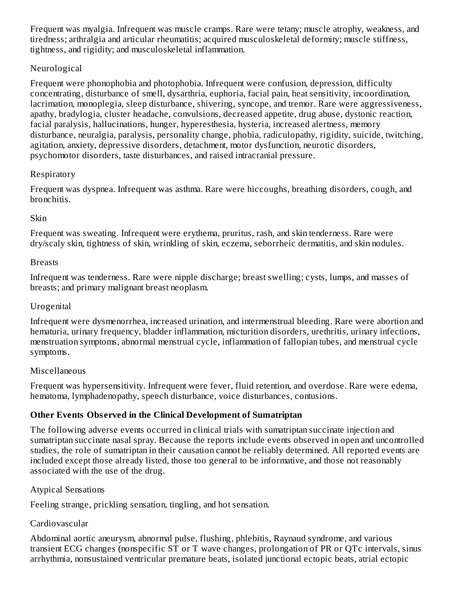Frequent was myalgia. Infrequent was muscle cramps. Rare were tetany; muscle atrophy, weakness, and tiredness; arthralgia and articular rheumatitis; acquired musculoskeletal deformity; muscle stiffness, tightness, and rigidity; and musculoskeletal inflammation.

### Neurological

Frequent were phonophobia and photophobia. Infrequent were confusion, depression, difficulty concentrating, disturbance of smell, dysarthria, euphoria, facial pain, heat sensitivity, incoordination, lacrimation, monoplegia, sleep disturbance, shivering, syncope, and tremor. Rare were aggressiveness, apathy, bradylogia, cluster headache, convulsions, decreased appetite, drug abuse, dystonic reaction, facial paralysis, hallucinations, hunger, hyperesthesia, hysteria, increased alertness, memory disturbance, neuralgia, paralysis, personality change, phobia, radiculopathy, rigidity, suicide, twitching, agitation, anxiety, depressive disorders, detachment, motor dysfunction, neurotic disorders, psychomotor disorders, taste disturbances, and raised intracranial pressure.

### Respiratory

Frequent was dyspnea. Infrequent was asthma. Rare were hiccoughs, breathing disorders, cough, and bronchitis.

### Skin

Frequent was sweating. Infrequent were erythema, pruritus, rash, and skin tenderness. Rare were dry/scaly skin, tightness of skin, wrinkling of skin, eczema, seborrheic dermatitis, and skin nodules.

### **Breasts**

Infrequent was tenderness. Rare were nipple discharge; breast swelling; cysts, lumps, and masses of breasts; and primary malignant breast neoplasm.

### Urogenital

Infrequent were dysmenorrhea, increased urination, and intermenstrual bleeding. Rare were abortion and hematuria, urinary frequency, bladder inflammation, micturition disorders, urethritis, urinary infections, menstruation symptoms, abnormal menstrual cycle, inflammation of fallopian tubes, and menstrual cycle symptoms.

### Miscellaneous

Frequent was hypersensitivity. Infrequent were fever, fluid retention, and overdose. Rare were edema, hematoma, lymphadenopathy, speech disturbance, voice disturbances, contusions.

# **Other Events Obs erved in the Clinical Development of Sumatriptan**

The following adverse events occurred in clinical trials with sumatriptan succinate injection and sumatriptan succinate nasal spray. Because the reports include events observed in open and uncontrolled studies, the role of sumatriptan in their causation cannot be reliably determined. All reported events are included except those already listed, those too general to be informative, and those not reasonably associated with the use of the drug.

### Atypical Sensations

Feeling strange, prickling sensation, tingling, and hot sensation.

### Cardiovascular

Abdominal aortic aneurysm, abnormal pulse, flushing, phlebitis, Raynaud syndrome, and various transient ECG changes (nonspecific ST or T wave changes, prolongation of PR or QTc intervals, sinus arrhythmia, nonsustained ventricular premature beats, isolated junctional ectopic beats, atrial ectopic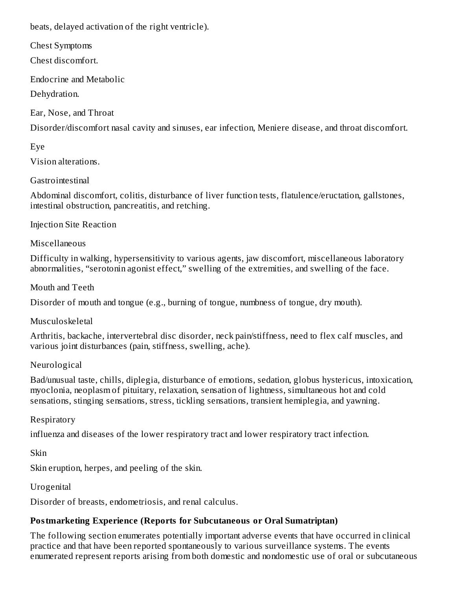beats, delayed activation of the right ventricle).

Chest Symptoms

Chest discomfort.

Endocrine and Metabolic

Dehydration.

Ear, Nose, and Throat

Disorder/discomfort nasal cavity and sinuses, ear infection, Meniere disease, and throat discomfort.

Eye

Vision alterations.

**Gastrointestinal** 

Abdominal discomfort, colitis, disturbance of liver function tests, flatulence/eructation, gallstones, intestinal obstruction, pancreatitis, and retching.

Injection Site Reaction

**Miscellaneous** 

Difficulty in walking, hypersensitivity to various agents, jaw discomfort, miscellaneous laboratory abnormalities, "serotonin agonist effect," swelling of the extremities, and swelling of the face.

Mouth and Teeth

Disorder of mouth and tongue (e.g., burning of tongue, numbness of tongue, dry mouth).

Musculoskeletal

Arthritis, backache, intervertebral disc disorder, neck pain/stiffness, need to flex calf muscles, and various joint disturbances (pain, stiffness, swelling, ache).

# Neurological

Bad/unusual taste, chills, diplegia, disturbance of emotions, sedation, globus hystericus, intoxication, myoclonia, neoplasm of pituitary, relaxation, sensation of lightness, simultaneous hot and cold sensations, stinging sensations, stress, tickling sensations, transient hemiplegia, and yawning.

Respiratory

influenza and diseases of the lower respiratory tract and lower respiratory tract infection.

Skin

Skin eruption, herpes, and peeling of the skin.

Urogenital

Disorder of breasts, endometriosis, and renal calculus.

# **Postmarketing Experience (Reports for Subcutaneous or Oral Sumatriptan)**

The following section enumerates potentially important adverse events that have occurred in clinical practice and that have been reported spontaneously to various surveillance systems. The events enumerated represent reports arising from both domestic and nondomestic use of oral or subcutaneous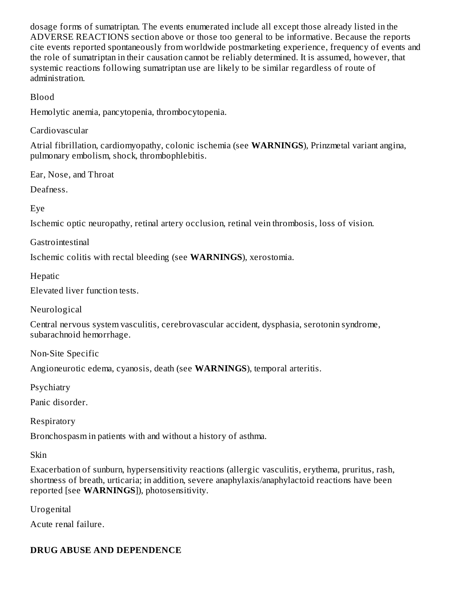dosage forms of sumatriptan. The events enumerated include all except those already listed in the ADVERSE REACTIONS section above or those too general to be informative. Because the reports cite events reported spontaneously from worldwide postmarketing experience, frequency of events and the role of sumatriptan in their causation cannot be reliably determined. It is assumed, however, that systemic reactions following sumatriptan use are likely to be similar regardless of route of administration.

Blood

Hemolytic anemia, pancytopenia, thrombocytopenia.

Cardiovascular

Atrial fibrillation, cardiomyopathy, colonic ischemia (see **WARNINGS**), Prinzmetal variant angina, pulmonary embolism, shock, thrombophlebitis.

Ear, Nose, and Throat

Deafness.

Eye

Ischemic optic neuropathy, retinal artery occlusion, retinal vein thrombosis, loss of vision.

**Gastrointestinal** 

Ischemic colitis with rectal bleeding (see **WARNINGS**), xerostomia.

Hepatic

Elevated liver function tests.

Neurological

Central nervous system vasculitis, cerebrovascular accident, dysphasia, serotonin syndrome, subarachnoid hemorrhage.

Non-Site Specific

Angioneurotic edema, cyanosis, death (see **WARNINGS**), temporal arteritis.

**Psychiatry** 

Panic disorder.

Respiratory

Bronchospasm in patients with and without a history of asthma.

Skin

Exacerbation of sunburn, hypersensitivity reactions (allergic vasculitis, erythema, pruritus, rash, shortness of breath, urticaria; in addition, severe anaphylaxis/anaphylactoid reactions have been reported [see **WARNINGS**]), photosensitivity.

Urogenital

Acute renal failure.

# **DRUG ABUSE AND DEPENDENCE**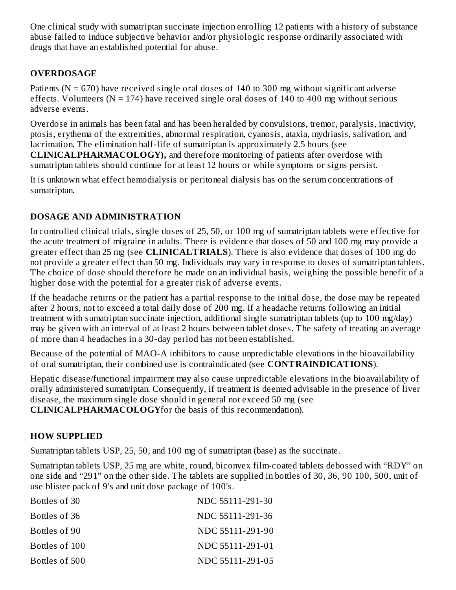One clinical study with sumatriptan succinate injection enrolling 12 patients with a history of substance abuse failed to induce subjective behavior and/or physiologic response ordinarily associated with drugs that have an established potential for abuse.

### **OVERDOSAGE**

Patients ( $N = 670$ ) have received single oral doses of 140 to 300 mg without significant adverse effects. Volunteers ( $N = 174$ ) have received single oral doses of 140 to 400 mg without serious adverse events.

Overdose in animals has been fatal and has been heralded by convulsions, tremor, paralysis, inactivity, ptosis, erythema of the extremities, abnormal respiration, cyanosis, ataxia, mydriasis, salivation, and lacrimation. The elimination half-life of sumatriptan is approximately 2.5 hours (see

**CLINICALPHARMACOLOGY),** and therefore monitoring of patients after overdose with sumatriptan tablets should continue for at least 12 hours or while symptoms or signs persist.

It is unknown what effect hemodialysis or peritoneal dialysis has on the serum concentrations of sumatriptan.

### **DOSAGE AND ADMINISTRATION**

In controlled clinical trials, single doses of 25, 50, or 100 mg of sumatriptan tablets were effective for the acute treatment of migraine in adults. There is evidence that doses of 50 and 100 mg may provide a greater effect than 25 mg (see **CLINICALTRIALS**). There is also evidence that doses of 100 mg do not provide a greater effect than 50 mg. Individuals may vary in response to doses of sumatriptan tablets. The choice of dose should therefore be made on an individual basis, weighing the possible benefit of a higher dose with the potential for a greater risk of adverse events.

If the headache returns or the patient has a partial response to the initial dose, the dose may be repeated after 2 hours, not to exceed a total daily dose of 200 mg. If a headache returns following an initial treatment with sumatriptan succinate injection, additional single sumatriptan tablets (up to 100 mg/day) may be given with an interval of at least 2 hours between tablet doses. The safety of treating an average of more than 4 headaches in a 30-day period has not been established.

Because of the potential of MAO-A inhibitors to cause unpredictable elevations in the bioavailability of oral sumatriptan, their combined use is contraindicated (see **CONTRAINDICATIONS**).

Hepatic disease/functional impairment may also cause unpredictable elevations in the bioavailability of orally administered sumatriptan. Consequently, if treatment is deemed advisable in the presence of liver disease, the maximum single dose should in general not exceed 50 mg (see

**CLINICALPHARMACOLOGY**for the basis of this recommendation).

### **HOW SUPPLIED**

Sumatriptan tablets USP, 25, 50, and 100 mg of sumatriptan (base) as the succinate.

Sumatriptan tablets USP, 25 mg are white, round, biconvex film-coated tablets debossed with "RDY" on one side and "291" on the other side. The tablets are supplied in bottles of 30, 36, 90 100, 500, unit of use blister pack of 9's and unit dose package of 100's.

| Bottles of 30  | NDC 55111-291-30 |
|----------------|------------------|
| Bottles of 36  | NDC 55111-291-36 |
| Bottles of 90  | NDC 55111-291-90 |
| Bottles of 100 | NDC 55111-291-01 |
| Bottles of 500 | NDC 55111-291-05 |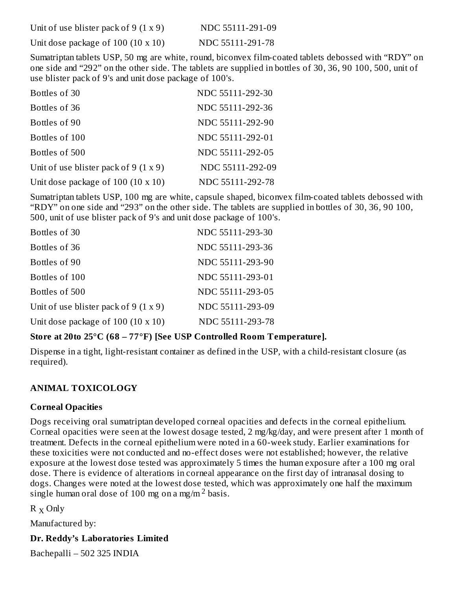Unit of use blister pack of  $9(1 \times 9)$  NDC 55111-291-09

Unit dose package of 100 (10 x 10) NDC 55111-291-78

Sumatriptan tablets USP, 50 mg are white, round, biconvex film-coated tablets debossed with "RDY" on one side and "292" on the other side. The tablets are supplied in bottles of 30, 36, 90 100, 500, unit of use blister pack of 9's and unit dose package of 100's.

| Bottles of 30                               | NDC 55111-292-30 |
|---------------------------------------------|------------------|
| Bottles of 36                               | NDC 55111-292-36 |
| Bottles of 90                               | NDC 55111-292-90 |
| Bottles of 100                              | NDC 55111-292-01 |
| Bottles of 500                              | NDC 55111-292-05 |
| Unit of use blister pack of $9(1 \times 9)$ | NDC 55111-292-09 |
| Unit dose package of $100 (10 x 10)$        | NDC 55111-292-78 |

Sumatriptan tablets USP, 100 mg are white, capsule shaped, biconvex film-coated tablets debossed with "RDY" on one side and "293" on the other side. The tablets are supplied in bottles of 30, 36, 90 100, 500, unit of use blister pack of 9's and unit dose package of 100's.

| Bottles of 30                          | NDC 55111-293-30 |
|----------------------------------------|------------------|
| Bottles of 36                          | NDC 55111-293-36 |
| Bottles of 90                          | NDC 55111-293-90 |
| Bottles of 100                         | NDC 55111-293-01 |
| Bottles of 500                         | NDC 55111-293-05 |
| Unit of use blister pack of $9(1 x 9)$ | NDC 55111-293-09 |
| Unit dose package of $100 (10 x 10)$   | NDC 55111-293-78 |

#### **Store at 20to 25°C (68 – 77°F) [See USP Controlled Room Temperature].**

Dispense in a tight, light-resistant container as defined in the USP, with a child-resistant closure (as required).

### **ANIMAL TOXICOLOGY**

#### **Corneal Opacities**

Dogs receiving oral sumatriptan developed corneal opacities and defects in the corneal epithelium. Corneal opacities were seen at the lowest dosage tested, 2 mg/kg/day, and were present after 1 month of treatment. Defects in the corneal epithelium were noted in a 60-week study. Earlier examinations for these toxicities were not conducted and no-effect doses were not established; however, the relative exposure at the lowest dose tested was approximately 5 times the human exposure after a 100 mg oral dose. There is evidence of alterations in corneal appearance on the first day of intranasal dosing to dogs. Changes were noted at the lowest dose tested, which was approximately one half the maximum single human oral dose of 100 mg on a mg/m<sup>2</sup> basis.

R <sub>X</sub> Only

Manufactured by:

**Dr. Reddy's Laboratories Limited**

Bachepalli – 502 325 INDIA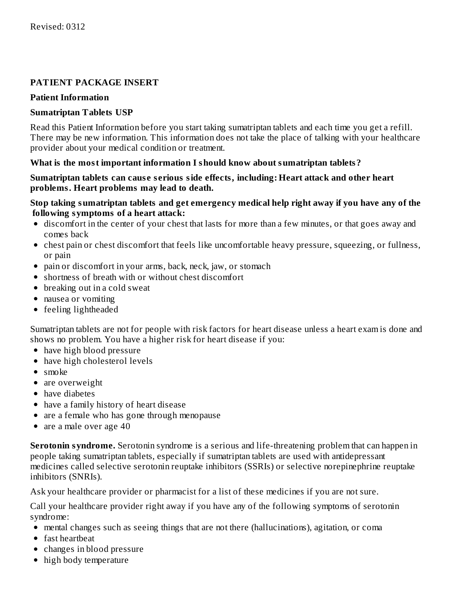### **PATIENT PACKAGE INSERT**

#### **Patient Information**

### **Sumatriptan Tablets USP**

Read this Patient Information before you start taking sumatriptan tablets and each time you get a refill. There may be new information. This information does not take the place of talking with your healthcare provider about your medical condition or treatment.

#### **What is the most important information I should know about sumatriptan tablets?**

#### **Sumatriptan tablets can caus e s erious side effects, including: Heart attack and other heart problems. Heart problems may lead to death.**

#### **Stop taking sumatriptan tablets and get emergency medical help right away if you have any of the following symptoms of a heart attack:**

- discomfort in the center of your chest that lasts for more than a few minutes, or that goes away and comes back
- chest pain or chest discomfort that feels like uncomfortable heavy pressure, squeezing, or fullness, or pain
- pain or discomfort in your arms, back, neck, jaw, or stomach
- shortness of breath with or without chest discomfort
- breaking out in a cold sweat
- nausea or vomiting
- feeling lightheaded

Sumatriptan tablets are not for people with risk factors for heart disease unless a heart exam is done and shows no problem. You have a higher risk for heart disease if you:

- have high blood pressure
- have high cholesterol levels
- smoke
- are overweight
- have diabetes
- have a family history of heart disease
- are a female who has gone through menopause
- are a male over age 40

**Serotonin syndrome.** Serotonin syndrome is a serious and life-threatening problem that can happen in people taking sumatriptan tablets, especially if sumatriptan tablets are used with antidepressant medicines called selective serotonin reuptake inhibitors (SSRIs) or selective norepinephrine reuptake inhibitors (SNRIs).

Ask your healthcare provider or pharmacist for a list of these medicines if you are not sure.

Call your healthcare provider right away if you have any of the following symptoms of serotonin syndrome:

- mental changes such as seeing things that are not there (hallucinations), agitation, or coma
- fast heartheat
- changes in blood pressure
- high body temperature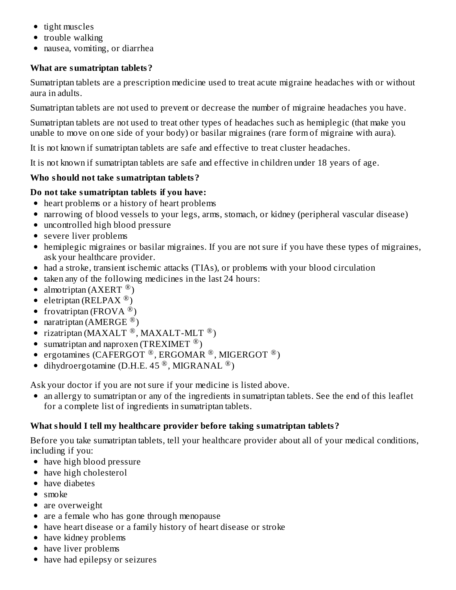- $\bullet$  tight muscles
- trouble walking
- nausea, vomiting, or diarrhea

### **What are sumatriptan tablets?**

Sumatriptan tablets are a prescription medicine used to treat acute migraine headaches with or without aura in adults.

Sumatriptan tablets are not used to prevent or decrease the number of migraine headaches you have.

Sumatriptan tablets are not used to treat other types of headaches such as hemiplegic (that make you unable to move on one side of your body) or basilar migraines (rare form of migraine with aura).

It is not known if sumatriptan tablets are safe and effective to treat cluster headaches.

It is not known if sumatriptan tablets are safe and effective in children under 18 years of age.

### **Who should not take sumatriptan tablets?**

### **Do not take sumatriptan tablets if you have:**

- heart problems or a history of heart problems
- narrowing of blood vessels to your legs, arms, stomach, or kidney (peripheral vascular disease)
- uncontrolled high blood pressure
- severe liver problems
- hemiplegic migraines or basilar migraines. If you are not sure if you have these types of migraines, ask your healthcare provider.
- had a stroke, transient ischemic attacks (TIAs), or problems with your blood circulation
- taken any of the following medicines in the last 24 hours:
- almotriptan  $(A X E R T^{\circledR})$
- eletriptan (RELPAX $^{\circledR}$ )
- frovatriptan (FROVA $^{\circledR}$ )
- naratriptan (AMERGE  $^{\circledR}$ )
- rizatriptan (MAXALT  $^{\circledR}$ , MAXALT-MLT  $^{\circledR})$
- sumatriptan and naproxen (TREXIMET  $^\circledR)$
- ergotamines (CAFERGOT  $^\circledR$ , ERGOMAR  $^\circledR$ , MIGERGOT  $^\circledR)$
- dihydroergotamine (D.H.E. 45  $^{\circledR}$ , MIGRANAL  $^{\circledR}$ )  $\bullet$

Ask your doctor if you are not sure if your medicine is listed above.

• an allergy to sumatriptan or any of the ingredients in sumatriptan tablets. See the end of this leaflet for a complete list of ingredients in sumatriptan tablets.

### **What should I tell my healthcare provider before taking sumatriptan tablets?**

Before you take sumatriptan tablets, tell your healthcare provider about all of your medical conditions, including if you:

- have high blood pressure
- have high cholesterol
- have diabetes
- smoke
- are overweight
- are a female who has gone through menopause
- have heart disease or a family history of heart disease or stroke
- have kidney problems
- have liver problems
- have had epilepsy or seizures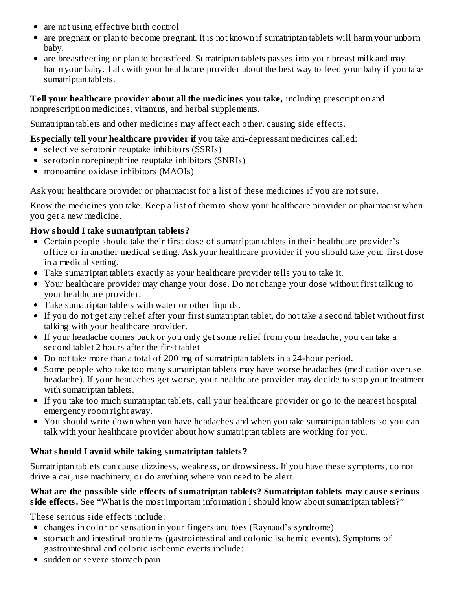- are not using effective birth control
- are pregnant or plan to become pregnant. It is not known if sumatriptan tablets will harm your unborn baby.
- are breastfeeding or plan to breastfeed. Sumatriptan tablets passes into your breast milk and may harm your baby. Talk with your healthcare provider about the best way to feed your baby if you take sumatriptan tablets.

**Tell your healthcare provider about all the medicines you take,** including prescription and nonprescription medicines, vitamins, and herbal supplements.

Sumatriptan tablets and other medicines may affect each other, causing side effects.

### **Especially tell your healthcare provider if** you take anti-depressant medicines called:

- selective serotonin reuptake inhibitors (SSRIs)
- serotonin norepinephrine reuptake inhibitors (SNRIs)
- monoamine oxidase inhibitors (MAOIs)

Ask your healthcare provider or pharmacist for a list of these medicines if you are not sure.

Know the medicines you take. Keep a list of them to show your healthcare provider or pharmacist when you get a new medicine.

### **How should I take sumatriptan tablets?**

- Certain people should take their first dose of sumatriptan tablets in their healthcare provider's office or in another medical setting. Ask your healthcare provider if you should take your first dose in a medical setting.
- Take sumatriptan tablets exactly as your healthcare provider tells you to take it.
- Your healthcare provider may change your dose. Do not change your dose without first talking to your healthcare provider.
- Take sumatriptan tablets with water or other liquids.
- If you do not get any relief after your first sumatriptan tablet, do not take a second tablet without first talking with your healthcare provider.
- If your headache comes back or you only get some relief from your headache, you can take a second tablet 2 hours after the first tablet
- Do not take more than a total of 200 mg of sumatriptan tablets in a 24-hour period.
- Some people who take too many sumatriptan tablets may have worse headaches (medication overuse headache). If your headaches get worse, your healthcare provider may decide to stop your treatment with sumatriptan tablets.
- If you take too much sumatriptan tablets, call your healthcare provider or go to the nearest hospital emergency room right away.
- You should write down when you have headaches and when you take sumatriptan tablets so you can talk with your healthcare provider about how sumatriptan tablets are working for you.

# **What should I avoid while taking sumatriptan tablets?**

Sumatriptan tablets can cause dizziness, weakness, or drowsiness. If you have these symptoms, do not drive a car, use machinery, or do anything where you need to be alert.

#### **What are the possible side effects of sumatriptan tablets? Sumatriptan tablets may caus e s erious side effects.** See "What is the most important information I should know about sumatriptan tablets?"

These serious side effects include:

- changes in color or sensation in your fingers and toes (Raynaud's syndrome)
- stomach and intestinal problems (gastrointestinal and colonic ischemic events). Symptoms of gastrointestinal and colonic ischemic events include:
- sudden or severe stomach pain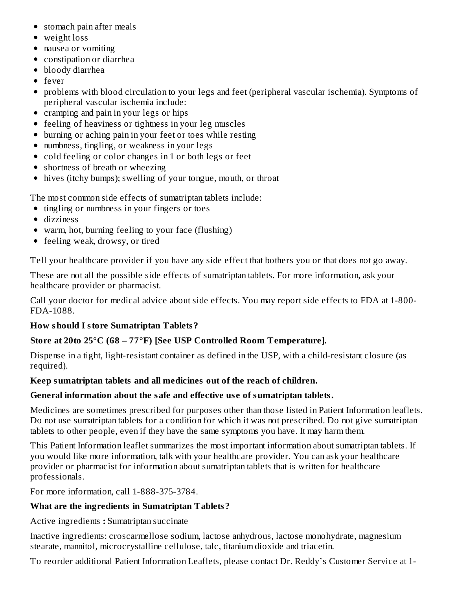- stomach pain after meals
- weight loss
- nausea or vomiting
- constipation or diarrhea
- bloody diarrhea
- fever
- problems with blood circulation to your legs and feet (peripheral vascular ischemia). Symptoms of peripheral vascular ischemia include:
- cramping and pain in your legs or hips
- feeling of heaviness or tightness in your leg muscles
- burning or aching pain in your feet or toes while resting
- numbness, tingling, or weakness in your legs
- cold feeling or color changes in 1 or both legs or feet
- shortness of breath or wheezing
- hives (itchy bumps); swelling of your tongue, mouth, or throat

The most common side effects of sumatriptan tablets include:

- tingling or numbness in your fingers or toes
- dizziness
- warm, hot, burning feeling to your face (flushing)
- feeling weak, drowsy, or tired

Tell your healthcare provider if you have any side effect that bothers you or that does not go away.

These are not all the possible side effects of sumatriptan tablets. For more information, ask your healthcare provider or pharmacist.

Call your doctor for medical advice about side effects. You may report side effects to FDA at 1-800- FDA-1088.

# **How should I store Sumatriptan Tablets?**

# **Store at 20to 25°C (68 – 77°F) [See USP Controlled Room Temperature].**

Dispense in a tight, light-resistant container as defined in the USP, with a child-resistant closure (as required).

# **Keep sumatriptan tablets and all medicines out of the reach of children.**

# **General information about the safe and effective us e of sumatriptan tablets.**

Medicines are sometimes prescribed for purposes other than those listed in Patient Information leaflets. Do not use sumatriptan tablets for a condition for which it was not prescribed. Do not give sumatriptan tablets to other people, even if they have the same symptoms you have. It may harm them.

This Patient Information leaflet summarizes the most important information about sumatriptan tablets. If you would like more information, talk with your healthcare provider. You can ask your healthcare provider or pharmacist for information about sumatriptan tablets that is written for healthcare professionals.

For more information, call 1-888-375-3784.

# **What are the ingredients in Sumatriptan Tablets?**

Active ingredients **:** Sumatriptan succinate

Inactive ingredients: croscarmellose sodium, lactose anhydrous, lactose monohydrate, magnesium stearate, mannitol, microcrystalline cellulose, talc, titanium dioxide and triacetin.

To reorder additional Patient Information Leaflets, please contact Dr. Reddy's Customer Service at 1-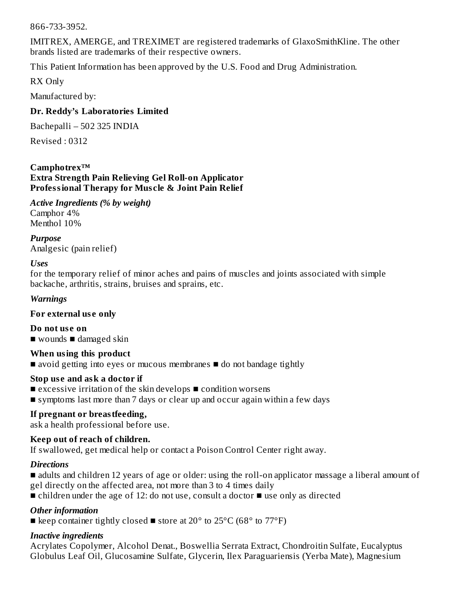866-733-3952.

IMITREX, AMERGE, and TREXIMET are registered trademarks of GlaxoSmithKline. The other brands listed are trademarks of their respective owners.

This Patient Information has been approved by the U.S. Food and Drug Administration.

RX Only

Manufactured by:

### **Dr. Reddy's Laboratories Limited**

Bachepalli – 502 325 INDIA

Revised : 0312

#### **Camphotrex™ Extra Strength Pain Relieving Gel Roll-on Applicator Professional Therapy for Mus cle & Joint Pain Relief**

*Active Ingredients (% by weight)* Camphor 4% Menthol 10%

*Purpose* Analgesic (pain relief)

### *Uses*

for the temporary relief of minor aches and pains of muscles and joints associated with simple backache, arthritis, strains, bruises and sprains, etc.

### *Warnings*

**For external us e only**

**Do not us e on** ■ wounds ■ damaged skin

#### **When using this product**

■ avoid getting into eyes or mucous membranes ■ do not bandage tightly

### **Stop us e and ask a doctor if**

- excessive irritation of the skin develops condition worsens
- symptoms last more than 7 days or clear up and occur again within a few days

### **If pregnant or breastfeeding,**

ask a health professional before use.

### **Keep out of reach of children.**

If swallowed, get medical help or contact a Poison Control Center right away.

### *Directions*

- adults and children 12 years of age or older: using the roll-on applicator massage a liberal amount of gel directly on the affected area, not more than 3 to 4 times daily
- children under the age of 12: do not use, consult a doctor use only as directed

### *Other information*

Execute keep container tightly closed  $\blacksquare$  store at 20 $\degree$  to 25 $\degree$ C (68 $\degree$  to 77 $\degree$ F)

### *Inactive ingredients*

Acrylates Copolymer, Alcohol Denat., Boswellia Serrata Extract, Chondroitin Sulfate, Eucalyptus Globulus Leaf Oil, Glucosamine Sulfate, Glycerin, Ilex Paraguariensis (Yerba Mate), Magnesium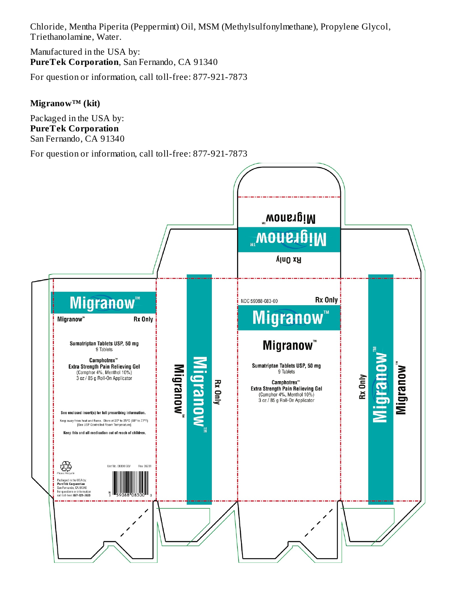Chloride, Mentha Piperita (Peppermint) Oil, MSM (Methylsulfonylmethane), Propylene Glycol, Triethanolamine, Water.

Manufactured in the USA by: **PureTek Corporation**, San Fernando, CA 91340

For question or information, call toll-free: 877-921-7873

### **Migranow™ (kit)**

Packaged in the USA by: **PureTek Corporation** San Fernando, CA 91340

For question or information, call toll-free: 877-921-7873

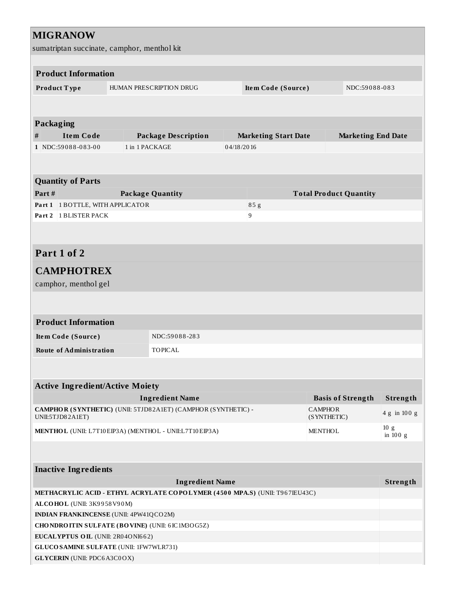| <b>MIGRANOW</b>                                                                            |                                                |                            |            |                             |                               |              |  |
|--------------------------------------------------------------------------------------------|------------------------------------------------|----------------------------|------------|-----------------------------|-------------------------------|--------------|--|
| sumatriptan succinate, camphor, menthol kit                                                |                                                |                            |            |                             |                               |              |  |
|                                                                                            |                                                |                            |            |                             |                               |              |  |
| <b>Product Information</b>                                                                 |                                                |                            |            |                             |                               |              |  |
| Product Type                                                                               |                                                | HUMAN PRESCRIPTION DRUG    |            | Item Code (Source)          | NDC:59088-083                 |              |  |
|                                                                                            |                                                |                            |            |                             |                               |              |  |
|                                                                                            |                                                |                            |            |                             |                               |              |  |
| Packaging                                                                                  |                                                |                            |            |                             |                               |              |  |
| <b>Item Code</b><br>#<br>1 NDC:59088-083-00                                                | 1 in 1 PACKAGE                                 | <b>Package Description</b> | 04/18/2016 | <b>Marketing Start Date</b> | <b>Marketing End Date</b>     |              |  |
|                                                                                            |                                                |                            |            |                             |                               |              |  |
|                                                                                            |                                                |                            |            |                             |                               |              |  |
| <b>Quantity of Parts</b>                                                                   |                                                |                            |            |                             |                               |              |  |
| Part#                                                                                      |                                                | <b>Package Quantity</b>    |            |                             | <b>Total Product Quantity</b> |              |  |
| Part 1   1 BOTTLE, WITH APPLICATOR                                                         |                                                |                            |            | 85g                         |                               |              |  |
| Part 2 1 BLISTER PACK                                                                      |                                                |                            |            | 9                           |                               |              |  |
|                                                                                            |                                                |                            |            |                             |                               |              |  |
|                                                                                            |                                                |                            |            |                             |                               |              |  |
| Part 1 of 2                                                                                |                                                |                            |            |                             |                               |              |  |
| <b>CAMPHOTREX</b>                                                                          |                                                |                            |            |                             |                               |              |  |
| camphor, menthol gel                                                                       |                                                |                            |            |                             |                               |              |  |
|                                                                                            |                                                |                            |            |                             |                               |              |  |
|                                                                                            |                                                |                            |            |                             |                               |              |  |
| <b>Product Information</b>                                                                 |                                                |                            |            |                             |                               |              |  |
| Item Code (Source)                                                                         |                                                | NDC:59088-283              |            |                             |                               |              |  |
| <b>Route of Administration</b>                                                             |                                                | <b>TOPICAL</b>             |            |                             |                               |              |  |
|                                                                                            |                                                |                            |            |                             |                               |              |  |
|                                                                                            |                                                |                            |            |                             |                               |              |  |
| <b>Active Ingredient/Active Moiety</b>                                                     |                                                |                            |            |                             |                               |              |  |
|                                                                                            |                                                | <b>Ingredient Name</b>     |            |                             | <b>Basis of Strength</b>      | Strength     |  |
| CAMPHOR (SYNTHETIC) (UNII: 5TJD82A1ET) (CAMPHOR (SYNTHETIC) -<br>UNII:5TJD82A1ET)          |                                                |                            |            |                             | <b>CAMPHOR</b><br>(SYNTHETIC) | 4 g in 100 g |  |
| MENTHOL (UNII: L7T10EIP3A) (MENTHOL - UNII:L7T10EIP3A)<br><b>MENTHOL</b>                   |                                                |                            |            |                             | 10 g<br>in 100 g              |              |  |
|                                                                                            |                                                |                            |            |                             |                               |              |  |
|                                                                                            |                                                |                            |            |                             |                               |              |  |
| <b>Inactive Ingredients</b>                                                                |                                                |                            |            |                             |                               |              |  |
|                                                                                            |                                                | <b>Ingredient Name</b>     |            |                             |                               | Strength     |  |
| METHACRYLIC ACID - ETHYL ACRYLATE COPOLYMER (4500 MPA.S) (UNII: T967IEU43C)                |                                                |                            |            |                             |                               |              |  |
| ALCOHOL (UNII: 3K9958V90M)                                                                 |                                                |                            |            |                             |                               |              |  |
| INDIAN FRANKINCENSE (UNII: 4PW41QCO2M)<br>CHONDROITIN SULFATE (BOVINE) (UNII: 6 IC1M3OG5Z) |                                                |                            |            |                             |                               |              |  |
| EUCALYPTUS OIL (UNII: 2R04ONI662)                                                          |                                                |                            |            |                             |                               |              |  |
|                                                                                            | <b>GLUCO SAMINE SULFATE (UNII: 1FW7WLR731)</b> |                            |            |                             |                               |              |  |
| <b>GLYCERIN</b> (UNII: PDC6A3C0OX)                                                         |                                                |                            |            |                             |                               |              |  |
|                                                                                            |                                                |                            |            |                             |                               |              |  |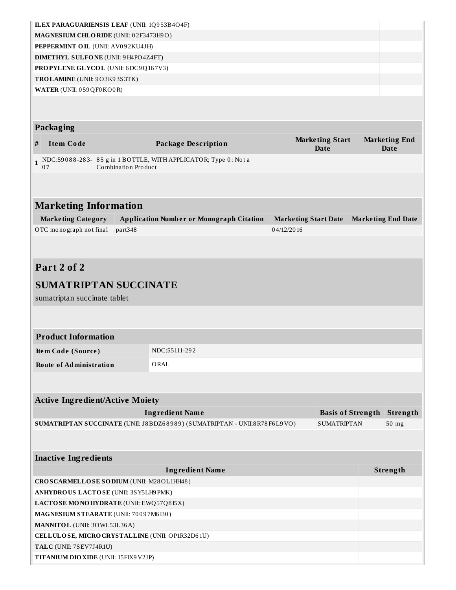|                                                                                                | ILEX PARAGUARIENSIS LEAF (UNII: 1Q953B4O4F)     |                     |                                                                 |            |  |                                       |  |                                     |
|------------------------------------------------------------------------------------------------|-------------------------------------------------|---------------------|-----------------------------------------------------------------|------------|--|---------------------------------------|--|-------------------------------------|
| MAGNESIUM CHLORIDE (UNII: 02F3473H9O)                                                          |                                                 |                     |                                                                 |            |  |                                       |  |                                     |
|                                                                                                | PEPPERMINT OIL (UNII: AV092KU4JH)               |                     |                                                                 |            |  |                                       |  |                                     |
|                                                                                                | <b>DIMETHYL SULFONE</b> (UNII: 9H4PO4Z4FT)      |                     |                                                                 |            |  |                                       |  |                                     |
|                                                                                                | PROPYLENE GLYCOL (UNII: 6DC9Q167V3)             |                     |                                                                 |            |  |                                       |  |                                     |
|                                                                                                | TROLAMINE (UNII: 903K93S3TK)                    |                     |                                                                 |            |  |                                       |  |                                     |
|                                                                                                | <b>WATER (UNII: 059QF0KO0R)</b>                 |                     |                                                                 |            |  |                                       |  |                                     |
|                                                                                                |                                                 |                     |                                                                 |            |  |                                       |  |                                     |
|                                                                                                | Packaging                                       |                     |                                                                 |            |  |                                       |  |                                     |
| #                                                                                              | <b>Item Code</b>                                |                     | <b>Package Description</b>                                      |            |  | <b>Marketing Start</b><br><b>Date</b> |  | <b>Marketing End</b><br><b>Date</b> |
| $\mathbf{1}$                                                                                   | 07                                              | Combination Product | NDC:59088-283- 85 g in 1 BOTTLE, WITH APPLICATOR; Type 0: Not a |            |  |                                       |  |                                     |
|                                                                                                |                                                 |                     |                                                                 |            |  |                                       |  |                                     |
|                                                                                                | <b>Marketing Information</b>                    |                     |                                                                 |            |  |                                       |  |                                     |
|                                                                                                | <b>Marketing Category</b>                       |                     | <b>Application Number or Monograph Citation</b>                 |            |  | <b>Marketing Start Date</b>           |  | <b>Marketing End Date</b>           |
|                                                                                                | OTC monograph not final                         | part348             |                                                                 | 04/12/2016 |  |                                       |  |                                     |
|                                                                                                |                                                 |                     |                                                                 |            |  |                                       |  |                                     |
|                                                                                                |                                                 |                     |                                                                 |            |  |                                       |  |                                     |
|                                                                                                | Part 2 of 2                                     |                     |                                                                 |            |  |                                       |  |                                     |
|                                                                                                | <b>SUMATRIPTAN SUCCINATE</b>                    |                     |                                                                 |            |  |                                       |  |                                     |
| sumatriptan succinate tablet                                                                   |                                                 |                     |                                                                 |            |  |                                       |  |                                     |
|                                                                                                |                                                 |                     |                                                                 |            |  |                                       |  |                                     |
|                                                                                                |                                                 |                     |                                                                 |            |  |                                       |  |                                     |
|                                                                                                | <b>Product Information</b>                      |                     |                                                                 |            |  |                                       |  |                                     |
|                                                                                                | Item Code (Source)                              |                     | NDC:55111-292                                                   |            |  |                                       |  |                                     |
|                                                                                                | <b>Route of Administration</b>                  |                     | ORAL                                                            |            |  |                                       |  |                                     |
|                                                                                                |                                                 |                     |                                                                 |            |  |                                       |  |                                     |
|                                                                                                |                                                 |                     |                                                                 |            |  |                                       |  |                                     |
|                                                                                                | <b>Active Ingredient/Active Moiety</b>          |                     |                                                                 |            |  |                                       |  |                                     |
|                                                                                                |                                                 |                     | <b>Ingredient Name</b>                                          |            |  |                                       |  | <b>Basis of Strength Strength</b>   |
| SUMATRIPTAN SUCCINATE (UNII: J8BDZ68989) (SUMATRIPTAN - UNII:8R78F6L9VO)<br><b>SUMATRIPTAN</b> |                                                 |                     |                                                                 |            |  | $50$ mg                               |  |                                     |
|                                                                                                |                                                 |                     |                                                                 |            |  |                                       |  |                                     |
| <b>Inactive Ingredients</b>                                                                    |                                                 |                     |                                                                 |            |  |                                       |  |                                     |
|                                                                                                |                                                 |                     | <b>Ingredient Name</b>                                          |            |  |                                       |  | Strength                            |
| CROSCARMELLOSE SODIUM (UNII: M28OL1HH48)                                                       |                                                 |                     |                                                                 |            |  |                                       |  |                                     |
| ANHYDROUS LACTOSE (UNII: 3SY5LH9 PMK)                                                          |                                                 |                     |                                                                 |            |  |                                       |  |                                     |
| LACTOSE MONOHYDRATE (UNII: EWQ57Q8I5X)                                                         |                                                 |                     |                                                                 |            |  |                                       |  |                                     |
| MAGNESIUM STEARATE (UNII: 70097M6I30)                                                          |                                                 |                     |                                                                 |            |  |                                       |  |                                     |
|                                                                                                | MANNITOL (UNII: 30WL53L36A)                     |                     |                                                                 |            |  |                                       |  |                                     |
|                                                                                                | CELLULOSE, MICRO CRYSTALLINE (UNII: OP1R32D61U) |                     |                                                                 |            |  |                                       |  |                                     |
|                                                                                                | TALC (UNII: 7SEV7J4R1U)                         |                     |                                                                 |            |  |                                       |  |                                     |
|                                                                                                | TITANIUM DIO XIDE (UNII: 15FIX9 V2JP)           |                     |                                                                 |            |  |                                       |  |                                     |